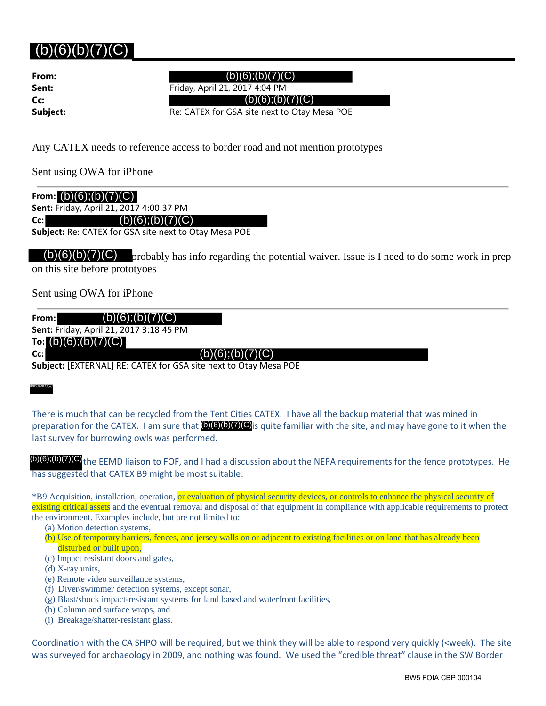# $(b)(6)(b)(7)(C)$

**From: Cc:**

**Sent:** Friday, April 21, 2017 4:04 PM **Subject:** Re: CATEX for GSA site next to Otay Mesa POE

Any CATEX needs to reference access to border road and not mention prototypes

Sent using OWA for iPhone

| From: $(b)(6)$ ; $(b)(7)(C)$            |  |
|-----------------------------------------|--|
| Sent: Friday, April 21, 2017 4:00:37 PM |  |
| (b)(6); (b)(7)(C)<br>$Cc$ :             |  |

**Subject:** Re: CATEX for GSA site next to Otay Mesa POE

 $(b)(6)(b)(7)(C)$  probably has info regarding the potential waiver. Issue is I need to do some work in prep on this site before prototyoes (b)(6);(b)(7)(C)<br>
iect:<br>
Friday, April 21, 2017 4:00:32 PM<br>
CATEX needs to reference access to border road and not met<br>
tusing OWA for iPhone<br>
n: **(b)(6);(b)(7)(C)**<br>
:: Friday, April 21, 2017 4:00:37 PM<br>
(b)(6);(b)(7)(C)<br>

Sent using OWA for iPhone

**From: Sent:** Friday, April 21, 2017 3:18:45 PM

**To:** (b)(6);(b)(7)(C) **Cc:**

**Subject:** [EXTERNAL] RE: CATEX for GSA site next to Otay Mesa POE

## (b)(6)(b)(7)(C)

 $\overline{a}$ 

There is much that can be recycled from the Tent Cities CATEX. I have all the backup material that was mined in preparation for the CATEX. I am sure that (b)(6)(b)(7)(C) is quite familiar with the site, and may have gone to it when the last survey for burrowing owls was performed.

(b)(6);(b)(7)(C)<sub>the EEMD liaison to FOF, and I had a discussion about the NEPA requirements for the fence prototypes. He</sub> has suggested that CATEX B9 might be most suitable:

\*B9 Acquisition, installation, operation, or evaluation of physical security devices, or controls to enhance the physical security of existing critical assets and the eventual removal and disposal of that equipment in compliance with applicable requirements to protect the environment. Examples include, but are not limited to:

(a) Motion detection systems,

- (b) Use of temporary barriers, fences, and jersey walls on or adjacent to existing facilities or on land that has already been disturbed or built upon,
- (c) Impact resistant doors and gates,
- (d) X-ray units,
- (e) Remote video surveillance systems,
- (f) Diver/swimmer detection systems, except sonar,
- (g) Blast/shock impact-resistant systems for land based and waterfront facilities,
- (h) Column and surface wraps, and
- (i) Breakage/shatter-resistant glass.

Coordination with the CA SHPO will be required, but we think they will be able to respond very quickly (<week). The site was surveyed for archaeology in 2009, and nothing was found. We used the "credible threat" clause in the SW Border